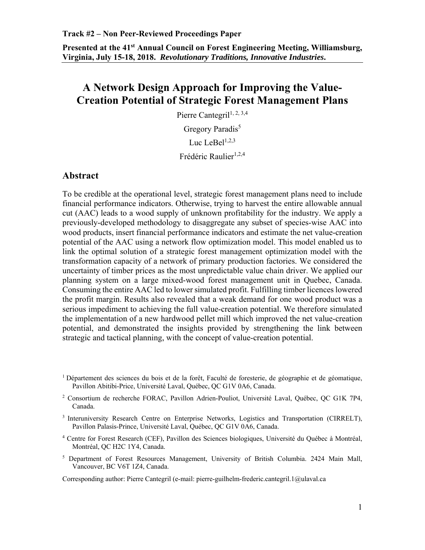**Presented at the 41st Annual Council on Forest Engineering Meeting, Williamsburg, Virginia, July 15-18, 2018.** *Revolutionary Traditions, Innovative Industries***.**

# **A Network Design Approach for Improving the Value-Creation Potential of Strategic Forest Management Plans**

Pierre Cantegril<sup>1, 2, 3,4</sup> Gregory Paradis<sup>5</sup>

Luc Le $Be1^{1,2,3}$ 

Frédéric Raulier<sup>1,2,4</sup>

#### **Abstract**

To be credible at the operational level, strategic forest management plans need to include financial performance indicators. Otherwise, trying to harvest the entire allowable annual cut (AAC) leads to a wood supply of unknown profitability for the industry. We apply a previously-developed methodology to disaggregate any subset of species-wise AAC into wood products, insert financial performance indicators and estimate the net value-creation potential of the AAC using a network flow optimization model. This model enabled us to link the optimal solution of a strategic forest management optimization model with the transformation capacity of a network of primary production factories. We considered the uncertainty of timber prices as the most unpredictable value chain driver. We applied our planning system on a large mixed-wood forest management unit in Quebec, Canada. Consuming the entire AAC led to lower simulated profit. Fulfilling timber licences lowered the profit margin. Results also revealed that a weak demand for one wood product was a serious impediment to achieving the full value-creation potential. We therefore simulated the implementation of a new hardwood pellet mill which improved the net value-creation potential, and demonstrated the insights provided by strengthening the link between strategic and tactical planning, with the concept of value-creation potential.

- 3 Interuniversity Research Centre on Enterprise Networks, Logistics and Transportation (CIRRELT), Pavillon Palasis-Prince, Université Laval, Québec, QC G1V 0A6, Canada.
- <sup>4</sup> Centre for Forest Research (CEF), Pavillon des Sciences biologiques, Université du Québec à Montréal, Montréal, QC H2C 1Y4, Canada.
- <sup>5</sup> Department of Forest Resources Management, University of British Columbia. 2424 Main Mall, Vancouver, BC V6T 1Z4, Canada.

Corresponding author: Pierre Cantegril (e-mail: pierre-guilhelm-frederic.cantegril.1@ulaval.ca

 $1$  Département des sciences du bois et de la forêt, Faculté de foresterie, de géographie et de géomatique, Pavillon Abitibi-Price, Université Laval, Québec, QC G1V 0A6, Canada.

<sup>2</sup> Consortium de recherche FORAC, Pavillon Adrien-Pouliot, Université Laval, Québec, QC G1K 7P4, Canada.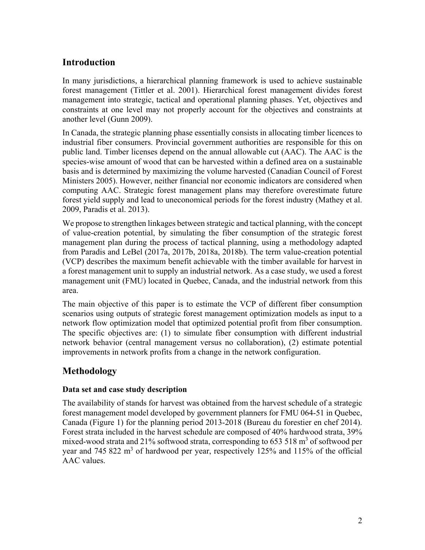## **Introduction**

In many jurisdictions, a hierarchical planning framework is used to achieve sustainable forest management (Tittler et al. 2001). Hierarchical forest management divides forest management into strategic, tactical and operational planning phases. Yet, objectives and constraints at one level may not properly account for the objectives and constraints at another level (Gunn 2009).

In Canada, the strategic planning phase essentially consists in allocating timber licences to industrial fiber consumers. Provincial government authorities are responsible for this on public land. Timber licenses depend on the annual allowable cut (AAC). The AAC is the species-wise amount of wood that can be harvested within a defined area on a sustainable basis and is determined by maximizing the volume harvested (Canadian Council of Forest Ministers 2005). However, neither financial nor economic indicators are considered when computing AAC. Strategic forest management plans may therefore overestimate future forest yield supply and lead to uneconomical periods for the forest industry (Mathey et al. 2009, Paradis et al. 2013).

We propose to strengthen linkages between strategic and tactical planning, with the concept of value-creation potential, by simulating the fiber consumption of the strategic forest management plan during the process of tactical planning, using a methodology adapted from Paradis and LeBel (2017a, 2017b, 2018a, 2018b). The term value-creation potential (VCP) describes the maximum benefit achievable with the timber available for harvest in a forest management unit to supply an industrial network. As a case study, we used a forest management unit (FMU) located in Quebec, Canada, and the industrial network from this area.

The main objective of this paper is to estimate the VCP of different fiber consumption scenarios using outputs of strategic forest management optimization models as input to a network flow optimization model that optimized potential profit from fiber consumption. The specific objectives are: (1) to simulate fiber consumption with different industrial network behavior (central management versus no collaboration), (2) estimate potential improvements in network profits from a change in the network configuration.

## **Methodology**

### **Data set and case study description**

The availability of stands for harvest was obtained from the harvest schedule of a strategic forest management model developed by government planners for FMU 064-51 in Quebec, Canada (Figure 1) for the planning period 2013-2018 (Bureau du forestier en chef 2014). Forest strata included in the harvest schedule are composed of 40% hardwood strata, 39% mixed-wood strata and 21% softwood strata, corresponding to 653 518  $m<sup>3</sup>$  of softwood per year and 745 822  $m<sup>3</sup>$  of hardwood per year, respectively 125% and 115% of the official AAC values.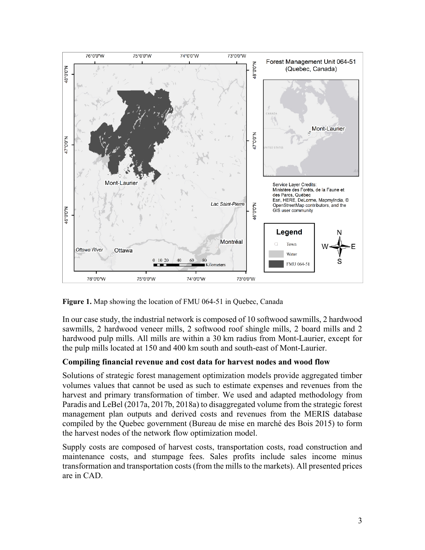

**Figure 1.** Map showing the location of FMU 064-51 in Quebec, Canada

In our case study, the industrial network is composed of 10 softwood sawmills, 2 hardwood sawmills, 2 hardwood veneer mills, 2 softwood roof shingle mills, 2 board mills and 2 hardwood pulp mills. All mills are within a 30 km radius from Mont-Laurier, except for the pulp mills located at 150 and 400 km south and south-east of Mont-Laurier.

### **Compiling financial revenue and cost data for harvest nodes and wood flow**

Solutions of strategic forest management optimization models provide aggregated timber volumes values that cannot be used as such to estimate expenses and revenues from the harvest and primary transformation of timber. We used and adapted methodology from Paradis and LeBel (2017a, 2017b, 2018a) to disaggregated volume from the strategic forest management plan outputs and derived costs and revenues from the MERIS database compiled by the Quebec government (Bureau de mise en marché des Bois 2015) to form the harvest nodes of the network flow optimization model.

Supply costs are composed of harvest costs, transportation costs, road construction and maintenance costs, and stumpage fees. Sales profits include sales income minus transformation and transportation costs (from the mills to the markets). All presented prices are in CAD.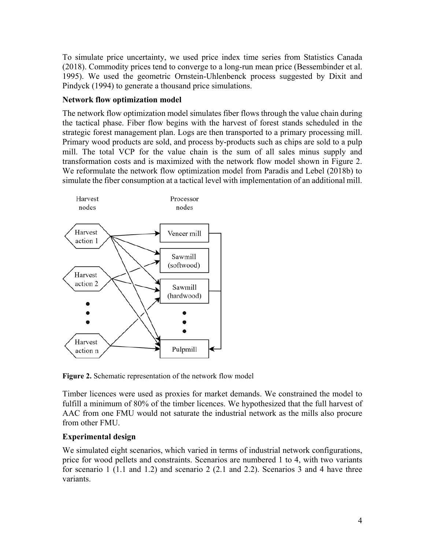To simulate price uncertainty, we used price index time series from Statistics Canada (2018). Commodity prices tend to converge to a long-run mean price (Bessembinder et al. 1995). We used the geometric Ornstein-Uhlenbenck process suggested by Dixit and Pindyck (1994) to generate a thousand price simulations.

#### **Network flow optimization model**

The network flow optimization model simulates fiber flows through the value chain during the tactical phase. Fiber flow begins with the harvest of forest stands scheduled in the strategic forest management plan. Logs are then transported to a primary processing mill. Primary wood products are sold, and process by-products such as chips are sold to a pulp mill. The total VCP for the value chain is the sum of all sales minus supply and transformation costs and is maximized with the network flow model shown in Figure 2. We reformulate the network flow optimization model from Paradis and Lebel (2018b) to simulate the fiber consumption at a tactical level with implementation of an additional mill.



**Figure 2.** Schematic representation of the network flow model

Timber licences were used as proxies for market demands. We constrained the model to fulfill a minimum of 80% of the timber licences. We hypothesized that the full harvest of AAC from one FMU would not saturate the industrial network as the mills also procure from other FMU.

### **Experimental design**

We simulated eight scenarios, which varied in terms of industrial network configurations, price for wood pellets and constraints. Scenarios are numbered 1 to 4, with two variants for scenario 1 (1.1 and 1.2) and scenario 2 (2.1 and 2.2). Scenarios 3 and 4 have three variants.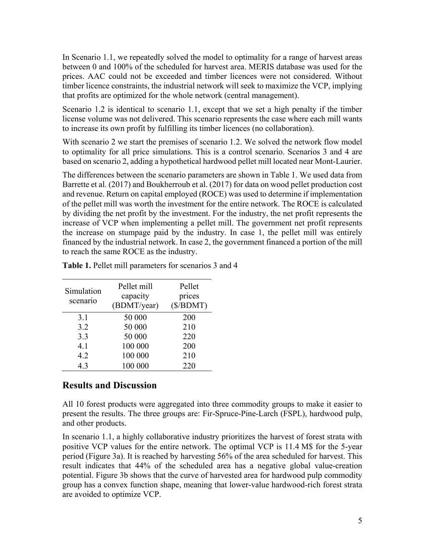In Scenario 1.1, we repeatedly solved the model to optimality for a range of harvest areas between 0 and 100% of the scheduled for harvest area. MERIS database was used for the prices. AAC could not be exceeded and timber licences were not considered. Without timber licence constraints, the industrial network will seek to maximize the VCP, implying that profits are optimized for the whole network (central management).

Scenario 1.2 is identical to scenario 1.1, except that we set a high penalty if the timber license volume was not delivered. This scenario represents the case where each mill wants to increase its own profit by fulfilling its timber licences (no collaboration).

With scenario 2 we start the premises of scenario 1.2. We solved the network flow model to optimality for all price simulations. This is a control scenario. Scenarios 3 and 4 are based on scenario 2, adding a hypothetical hardwood pellet mill located near Mont-Laurier.

The differences between the scenario parameters are shown in Table 1. We used data from Barrette et al. (2017) and Boukherroub et al. (2017) for data on wood pellet production cost and revenue. Return on capital employed (ROCE) was used to determine if implementation of the pellet mill was worth the investment for the entire network. The ROCE is calculated by dividing the net profit by the investment. For the industry, the net profit represents the increase of VCP when implementing a pellet mill. The government net profit represents the increase on stumpage paid by the industry. In case 1, the pellet mill was entirely financed by the industrial network. In case 2, the government financed a portion of the mill to reach the same ROCE as the industry.

| Simulation<br>scenario | Pellet mill<br>capacity<br>(BDMT/year) | Pellet<br>prices<br>(\$/BDMT) |  |  |
|------------------------|----------------------------------------|-------------------------------|--|--|
| 3.1                    | 50 000                                 | 200                           |  |  |
| 3.2                    | 50 000                                 | 210                           |  |  |
| 3.3                    | 50 000                                 | 220                           |  |  |
| 4.1                    | 100 000                                | 200                           |  |  |
| 4.2                    | 100 000                                | 210                           |  |  |
| 4.3                    | 100 000                                | 220                           |  |  |

**Table 1.** Pellet mill parameters for scenarios 3 and 4

## **Results and Discussion**

All 10 forest products were aggregated into three commodity groups to make it easier to present the results. The three groups are: Fir-Spruce-Pine-Larch (FSPL), hardwood pulp, and other products.

In scenario 1.1, a highly collaborative industry prioritizes the harvest of forest strata with positive VCP values for the entire network. The optimal VCP is 11.4 M\$ for the 5-year period (Figure 3a). It is reached by harvesting 56% of the area scheduled for harvest. This result indicates that 44% of the scheduled area has a negative global value-creation potential. Figure 3b shows that the curve of harvested area for hardwood pulp commodity group has a convex function shape, meaning that lower-value hardwood-rich forest strata are avoided to optimize VCP.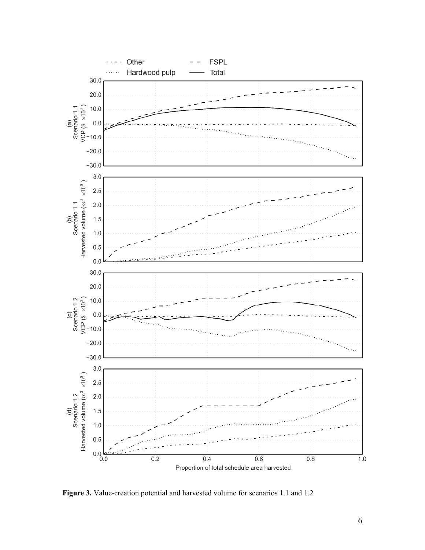

**Figure 3.** Value-creation potential and harvested volume for scenarios 1.1 and 1.2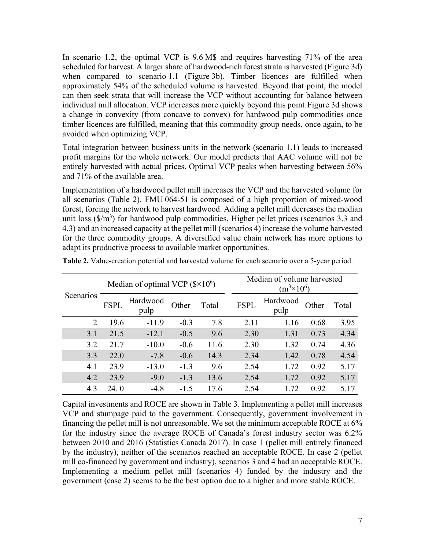In scenario 1.2, the optimal VCP is 9.6 M\$ and requires harvesting 71% of the area scheduled for harvest. A larger share of hardwood-rich forest strata is harvested (Figure 3d) when compared to scenario 1.1 (Figure 3b). Timber licences are fulfilled when approximately 54% of the scheduled volume is harvested. Beyond that point, the model can then seek strata that will increase the VCP without accounting for balance between individual mill allocation. VCP increases more quickly beyond this point. Figure 3d shows a change in convexity (from concave to convex) for hardwood pulp commodities once timber licences are fulfilled, meaning that this commodity group needs, once again, to be avoided when optimizing VCP.

Total integration between business units in the network (scenario 1.1) leads to increased profit margins for the whole network. Our model predicts that AAC volume will not be entirely harvested with actual prices. Optimal VCP peaks when harvesting between 56% and 71% of the available area.

Implementation of a hardwood pellet mill increases the VCP and the harvested volume for all scenarios (Table 2). FMU 064-51 is composed of a high proportion of mixed-wood forest, forcing the network to harvest hardwood. Adding a pellet mill decreases the median unit loss  $(\frac{5}{m^3})$  for hardwood pulp commodities. Higher pellet prices (scenarios 3.3 and 4.3) and an increased capacity at the pellet mill (scenarios 4) increase the volume harvested for the three commodity groups. A diversified value chain network has more options to adapt its productive process to available market opportunities.

| Scenarios | Median of optimal VCP $(\$ \times 10^6)$ |                  |        |       | Median of volume harvested<br>$(m^3 \times 10^6)$ |                  |       |       |
|-----------|------------------------------------------|------------------|--------|-------|---------------------------------------------------|------------------|-------|-------|
|           | <b>FSPL</b>                              | Hardwood<br>pulp | Other  | Total | <b>FSPL</b>                                       | Hardwood<br>pulp | Other | Total |
| 2         | 19.6                                     | $-11.9$          | $-0.3$ | 7.8   | 2.11                                              | 1.16             | 0.68  | 3.95  |
| 3.1       | 21.5                                     | $-12.1$          | $-0.5$ | 9.6   | 2.30                                              | 1.31             | 0.73  | 4.34  |
| 3.2       | 21.7                                     | $-10.0$          | $-0.6$ | 11.6  | 2.30                                              | 1.32             | 0.74  | 4.36  |
| 3.3       | 22.0                                     | $-7.8$           | $-0.6$ | 14.3  | 2.34                                              | 1.42             | 0.78  | 4.54  |
| 4.1       | 23.9                                     | $-13.0$          | $-1.3$ | 9.6   | 2.54                                              | 1.72             | 0.92  | 5.17  |
| 4.2       | 23.9                                     | $-9.0$           | $-1.3$ | 13.6  | 2.54                                              | 1.72             | 0.92  | 5.17  |
| 4.3       | 24.0                                     | $-4.8$           | $-1.5$ | 17.6  | 2.54                                              | 1.72             | 0.92  | 5.17  |

**Table 2.** Value-creation potential and harvested volume for each scenario over a 5-year period.

Capital investments and ROCE are shown in Table 3. Implementing a pellet mill increases VCP and stumpage paid to the government. Consequently, government involvement in financing the pellet mill is not unreasonable. We set the minimum acceptable ROCE at 6% for the industry since the average ROCE of Canada's forest industry sector was 6.2% between 2010 and 2016 (Statistics Canada 2017). In case 1 (pellet mill entirely financed by the industry), neither of the scenarios reached an acceptable ROCE. In case 2 (pellet mill co-financed by government and industry), scenarios 3 and 4 had an acceptable ROCE. Implementing a medium pellet mill (scenarios 4) funded by the industry and the government (case 2) seems to be the best option due to a higher and more stable ROCE.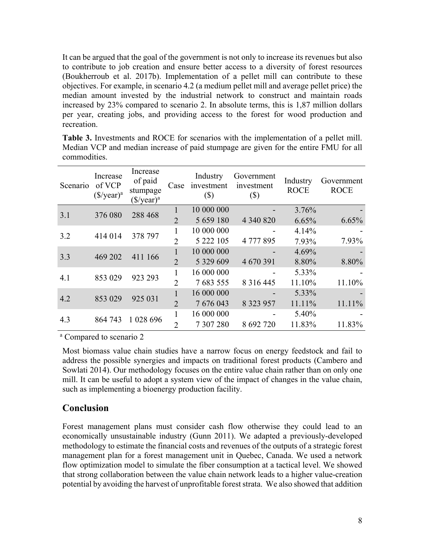It can be argued that the goal of the government is not only to increase its revenues but also to contribute to job creation and ensure better access to a diversity of forest resources (Boukherroub et al. 2017b). Implementation of a pellet mill can contribute to these objectives. For example, in scenario 4.2 (a medium pellet mill and average pellet price) the median amount invested by the industrial network to construct and maintain roads increased by 23% compared to scenario 2. In absolute terms, this is 1,87 million dollars per year, creating jobs, and providing access to the forest for wood production and recreation.

**Table 3.** Investments and ROCE for scenarios with the implementation of a pellet mill. Median VCP and median increase of paid stumpage are given for the entire FMU for all commodities.

| Scenario       | Increase<br>of VCP<br>$(\frac{f}{g})$ year) <sup>a</sup> | Increase<br>of paid<br>stumpage<br>$(\frac{f}{g})$ year) <sup>a</sup> | Case           | Industry<br>investment<br>$(\$\)$ | Government<br>investment<br>$(\$)$ | Industry<br><b>ROCE</b> | Government<br><b>ROCE</b> |
|----------------|----------------------------------------------------------|-----------------------------------------------------------------------|----------------|-----------------------------------|------------------------------------|-------------------------|---------------------------|
| 376 080<br>3.1 |                                                          |                                                                       |                | 10 000 000                        |                                    | 3.76%                   |                           |
|                |                                                          | 288 468                                                               | $\overline{2}$ | 5 659 180                         | 4 340 820                          | 6.65%                   | 6.65%                     |
| 414 014<br>3.2 | 378 797                                                  |                                                                       | 10 000 000     |                                   | 4.14%                              |                         |                           |
|                |                                                          | $\overline{2}$                                                        | 5 222 105      | 4 777 895                         | 7.93%                              | 7.93%                   |                           |
| 469 202<br>3.3 |                                                          | 411 166                                                               |                | 10 000 000                        |                                    | 4.69%                   |                           |
|                |                                                          |                                                                       | 2              | 5 329 609                         | 4 670 391                          | 8.80%                   | 8.80%                     |
| 853 029<br>4.1 | 923 293                                                  |                                                                       | 16 000 000     |                                   | 5.33%                              |                         |                           |
|                |                                                          | $\overline{2}$                                                        | 7683555        | 8 3 1 6 4 4 5                     | 11.10%                             | 11.10%                  |                           |
| 853 029<br>4.2 |                                                          | 925 031                                                               |                | 16 000 000                        |                                    | 5.33%                   |                           |
|                |                                                          |                                                                       | $\overline{2}$ | 7 676 043                         | 8 3 2 3 9 5 7                      | 11.11%                  | 11.11%                    |
| 4.3            | 864 743                                                  | 1 028 696                                                             |                | 16 000 000                        |                                    | 5.40%                   |                           |
|                |                                                          |                                                                       | $\overline{2}$ | 7 307 280                         | 8 692 720                          | 11.83%                  | 11.83%                    |

<sup>a</sup> Compared to scenario 2

Most biomass value chain studies have a narrow focus on energy feedstock and fail to address the possible synergies and impacts on traditional forest products (Cambero and Sowlati 2014). Our methodology focuses on the entire value chain rather than on only one mill. It can be useful to adopt a system view of the impact of changes in the value chain, such as implementing a bioenergy production facility.

## **Conclusion**

Forest management plans must consider cash flow otherwise they could lead to an economically unsustainable industry (Gunn 2011). We adapted a previously-developed methodology to estimate the financial costs and revenues of the outputs of a strategic forest management plan for a forest management unit in Quebec, Canada. We used a network flow optimization model to simulate the fiber consumption at a tactical level. We showed that strong collaboration between the value chain network leads to a higher value-creation potential by avoiding the harvest of unprofitable forest strata. We also showed that addition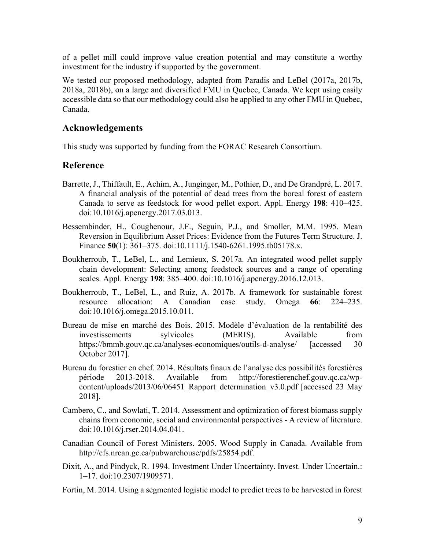of a pellet mill could improve value creation potential and may constitute a worthy investment for the industry if supported by the government.

We tested our proposed methodology, adapted from Paradis and LeBel (2017a, 2017b, 2018a, 2018b), on a large and diversified FMU in Quebec, Canada. We kept using easily accessible data so that our methodology could also be applied to any other FMU in Quebec, Canada.

## **Acknowledgements**

This study was supported by funding from the FORAC Research Consortium.

## **Reference**

- Barrette, J., Thiffault, E., Achim, A., Junginger, M., Pothier, D., and De Grandpré, L. 2017. A financial analysis of the potential of dead trees from the boreal forest of eastern Canada to serve as feedstock for wood pellet export. Appl. Energy **198**: 410–425. doi:10.1016/j.apenergy.2017.03.013.
- Bessembinder, H., Coughenour, J.F., Seguin, P.J., and Smoller, M.M. 1995. Mean Reversion in Equilibrium Asset Prices: Evidence from the Futures Term Structure. J. Finance **50**(1): 361–375. doi:10.1111/j.1540-6261.1995.tb05178.x.
- Boukherroub, T., LeBel, L., and Lemieux, S. 2017a. An integrated wood pellet supply chain development: Selecting among feedstock sources and a range of operating scales. Appl. Energy **198**: 385–400. doi:10.1016/j.apenergy.2016.12.013.
- Boukherroub, T., LeBel, L., and Ruiz, A. 2017b. A framework for sustainable forest resource allocation: A Canadian case study. Omega **66**: 224–235. doi:10.1016/j.omega.2015.10.011.
- Bureau de mise en marché des Bois. 2015. Modèle d'évaluation de la rentabilité des investissements sylvicoles (MERIS). Available from https://bmmb.gouv.qc.ca/analyses-economiques/outils-d-analyse/ [accessed 30 October 2017].
- Bureau du forestier en chef. 2014. Résultats finaux de l'analyse des possibilités forestières période 2013-2018. Available from http://forestierenchef.gouv.qc.ca/wpcontent/uploads/2013/06/06451\_Rapport\_determination\_v3.0.pdf [accessed 23 May 2018].
- Cambero, C., and Sowlati, T. 2014. Assessment and optimization of forest biomass supply chains from economic, social and environmental perspectives - A review of literature. doi:10.1016/j.rser.2014.04.041.
- Canadian Council of Forest Ministers. 2005. Wood Supply in Canada. Available from http://cfs.nrcan.gc.ca/pubwarehouse/pdfs/25854.pdf.
- Dixit, A., and Pindyck, R. 1994. Investment Under Uncertainty. Invest. Under Uncertain.: 1–17. doi:10.2307/1909571.
- Fortin, M. 2014. Using a segmented logistic model to predict trees to be harvested in forest